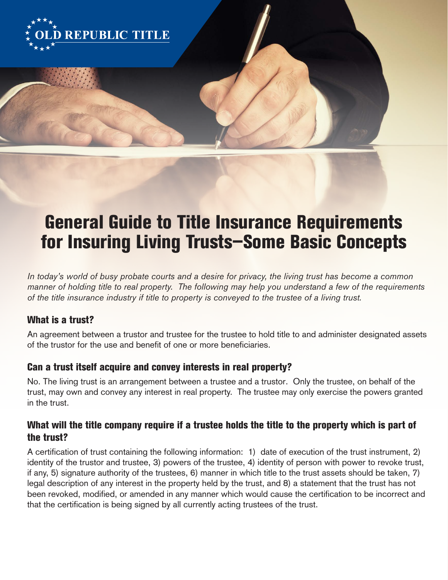

# General Guide to Title Insurance Requirements for Insuring Living Trusts—Some Basic Concepts

In today's world of busy probate courts and a desire for privacy, the living trust has become a common manner of holding title to real property. The following may help you understand a few of the requirements of the title insurance industry if title to property is conveyed to the trustee of a living trust.

## What is a trust?

An agreement between a trustor and trustee for the trustee to hold title to and administer designated assets of the trustor for the use and benefit of one or more beneficiaries.

## Can a trust itself acquire and convey interests in real property?

No. The living trust is an arrangement between a trustee and a trustor. Only the trustee, on behalf of the trust, may own and convey any interest in real property. The trustee may only exercise the powers granted in the trust.

## What will the title company require if a trustee holds the title to the property which is part of the trust?

A certification of trust containing the following information: 1) date of execution of the trust instrument, 2) identity of the trustor and trustee, 3) powers of the trustee, 4) identity of person with power to revoke trust, if any, 5) signature authority of the trustees, 6) manner in which title to the trust assets should be taken, 7) legal description of any interest in the property held by the trust, and 8) a statement that the trust has not been revoked, modified, or amended in any manner which would cause the certification to be incorrect and that the certification is being signed by all currently acting trustees of the trust.